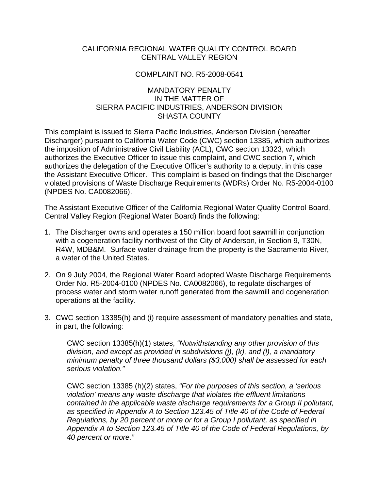# CALIFORNIA REGIONAL WATER QUALITY CONTROL BOARD CENTRAL VALLEY REGION

### COMPLAINT NO. R5-2008-0541

# MANDATORY PENALTY IN THE MATTER OF SIERRA PACIFIC INDUSTRIES, ANDERSON DIVISION SHASTA COUNTY

This complaint is issued to Sierra Pacific Industries, Anderson Division (hereafter Discharger) pursuant to California Water Code (CWC) section 13385, which authorizes the imposition of Administrative Civil Liability (ACL), CWC section 13323, which authorizes the Executive Officer to issue this complaint, and CWC section 7, which authorizes the delegation of the Executive Officer's authority to a deputy, in this case the Assistant Executive Officer. This complaint is based on findings that the Discharger violated provisions of Waste Discharge Requirements (WDRs) Order No. R5-2004-0100 (NPDES No. CA0082066).

The Assistant Executive Officer of the California Regional Water Quality Control Board, Central Valley Region (Regional Water Board) finds the following:

- 1. The Discharger owns and operates a 150 million board foot sawmill in conjunction with a cogeneration facility northwest of the City of Anderson, in Section 9, T30N, R4W, MDB&M. Surface water drainage from the property is the Sacramento River, a water of the United States.
- 2. On 9 July 2004, the Regional Water Board adopted Waste Discharge Requirements Order No. R5-2004-0100 (NPDES No. CA0082066), to regulate discharges of process water and storm water runoff generated from the sawmill and cogeneration operations at the facility.
- 3. CWC section 13385(h) and (i) require assessment of mandatory penalties and state, in part, the following:

CWC section 13385(h)(1) states, *"Notwithstanding any other provision of this division, and except as provided in subdivisions (j), (k), and (l), a mandatory minimum penalty of three thousand dollars (\$3,000) shall be assessed for each serious violation."* 

CWC section 13385 (h)(2) states, *"For the purposes of this section, a 'serious violation' means any waste discharge that violates the effluent limitations contained in the applicable waste discharge requirements for a Group II pollutant, as specified in Appendix A to Section 123.45 of Title 40 of the Code of Federal Regulations, by 20 percent or more or for a Group I pollutant, as specified in Appendix A to Section 123.45 of Title 40 of the Code of Federal Regulations, by 40 percent or more."*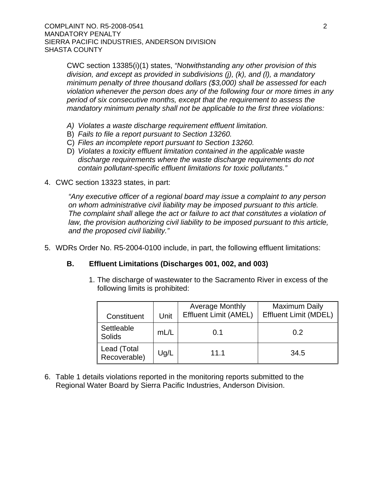CWC section 13385(i)(1) states, *"Notwithstanding any other provision of this division, and except as provided in subdivisions (j), (k), and (l), a mandatory minimum penalty of three thousand dollars (\$3,000) shall be assessed for each violation whenever the person does any of the following four or more times in any period of six consecutive months, except that the requirement to assess the mandatory minimum penalty shall not be applicable to the first three violations:*

- *A) Violates a waste discharge requirement effluent limitation.*
- B) *Fails to file a report pursuant to Section 13260.*
- C) *Files an incomplete report pursuant to Section 13260.*
- D) *Violates a toxicity effluent limitation contained in the applicable waste discharge requirements where the waste discharge requirements do not contain pollutant-specific effluent limitations for toxic pollutants."*
- 4. CWC section 13323 states, in part:

*"Any executive officer of a regional board may issue a complaint to any person on whom administrative civil liability may be imposed pursuant to this article. The complaint shall* allege *the act or failure to act that constitutes a violation of law, the provision authorizing civil liability to be imposed pursuant to this article, and the proposed civil liability."*

5. WDRs Order No. R5-2004-0100 include, in part, the following effluent limitations:

### **B. Effluent Limitations (Discharges 001, 002, and 003)**

1. The discharge of wastewater to the Sacramento River in excess of the following limits is prohibited:

| Constituent                 | Unit | <b>Average Monthly</b><br><b>Effluent Limit (AMEL)</b> | <b>Maximum Daily</b><br><b>Effluent Limit (MDEL)</b> |  |
|-----------------------------|------|--------------------------------------------------------|------------------------------------------------------|--|
| Settleable<br>Solids        | mL/L | 0.1                                                    | 0.2                                                  |  |
| Lead (Total<br>Recoverable) | Ug/L | 11.1                                                   | 34.5                                                 |  |

6. Table 1 details violations reported in the monitoring reports submitted to the Regional Water Board by Sierra Pacific Industries, Anderson Division.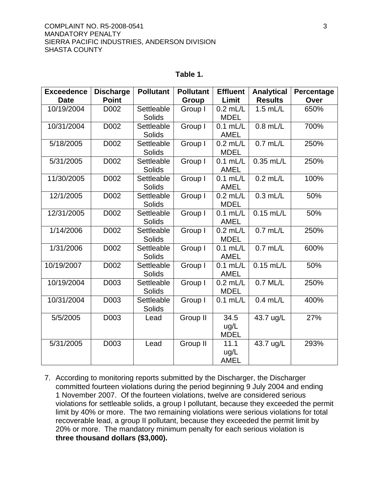#### **Table 1.**

| <b>Exceedence</b> | <b>Discharge</b> | <b>Pollutant</b>            | <b>Pollutant</b> | <b>Effluent</b>             | <b>Analytical</b> | Percentage |
|-------------------|------------------|-----------------------------|------------------|-----------------------------|-------------------|------------|
| <b>Date</b>       | <b>Point</b>     |                             | Group            | Limit                       | <b>Results</b>    | Over       |
| 10/19/2004        | D002             | Settleable<br><b>Solids</b> | Group I          | $0.2$ mL/L<br><b>MDEL</b>   | $1.5$ mL/L        | 650%       |
| 10/31/2004        | D002             | Settleable                  |                  | $0.1$ mL/L                  | $0.8$ mL/L        | 700%       |
|                   |                  | <b>Solids</b>               | Group I          | <b>AMEL</b>                 |                   |            |
| 5/18/2005         | D002             | Settleable<br>Solids        | Group I          | $0.2$ mL/L<br><b>MDEL</b>   | $0.7$ mL/L        | 250%       |
| 5/31/2005         | D002             | Settleable<br><b>Solids</b> | Group I          | $0.1$ mL/L<br><b>AMEL</b>   | $0.35$ mL/L       | 250%       |
| 11/30/2005        | D002             | Settleable<br><b>Solids</b> | Group I          | $0.1$ mL/L<br><b>AMEL</b>   | $0.2$ mL/L        | 100%       |
| 12/1/2005         | D002             | Settleable<br>Solids        | Group I          | $0.2$ mL/L<br><b>MDEL</b>   | $0.3$ mL/L        | 50%        |
| 12/31/2005        | D002             | Settleable<br><b>Solids</b> | Group I          | $0.1$ mL/L<br><b>AMEL</b>   | $0.15$ mL/L       | 50%        |
| 1/14/2006         | D002             | Settleable<br><b>Solids</b> | Group I          | $0.2$ mL/L<br><b>MDEL</b>   | $0.7$ mL/L        | 250%       |
| 1/31/2006         | D002             | Settleable<br><b>Solids</b> | Group I          | $0.1$ mL/L<br><b>AMEL</b>   | $0.7$ mL/L        | 600%       |
| 10/19/2007        | D002             | Settleable<br><b>Solids</b> | Group I          | $0.1$ mL/L<br><b>AMEL</b>   | $0.15$ mL/L       | 50%        |
| 10/19/2004        | D003             | Settleable<br>Solids        | Group I          | $0.2$ mL/L<br><b>MDEL</b>   | $0.7$ ML/L        | 250%       |
| 10/31/2004        | D003             | Settleable<br>Solids        | Group I          | $0.1$ mL/L                  | $0.4$ mL/L        | 400%       |
| 5/5/2005          | D003             | Lead                        | Group II         | 34.5<br>ug/L<br><b>MDEL</b> | 43.7 ug/L         | 27%        |
| 5/31/2005         | D003             | Lead                        | Group II         | 11.1<br>ug/L<br><b>AMEL</b> | 43.7 ug/L         | 293%       |

7. According to monitoring reports submitted by the Discharger, the Discharger committed fourteen violations during the period beginning 9 July 2004 and ending 1 November 2007. Of the fourteen violations, twelve are considered serious violations for settleable solids, a group I pollutant, because they exceeded the permit limit by 40% or more. The two remaining violations were serious violations for total recoverable lead, a group II pollutant, because they exceeded the permit limit by 20% or more. The mandatory minimum penalty for each serious violation is **three thousand dollars (\$3,000).**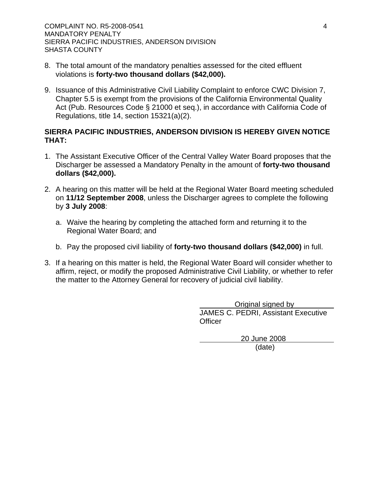- 8. The total amount of the mandatory penalties assessed for the cited effluent violations is **forty-two thousand dollars (\$42,000).**
- 9. Issuance of this Administrative Civil Liability Complaint to enforce CWC Division 7, Chapter 5.5 is exempt from the provisions of the California Environmental Quality Act (Pub. Resources Code § 21000 et seq.), in accordance with California Code of Regulations, title 14, section 15321(a)(2).

# **SIERRA PACIFIC INDUSTRIES, ANDERSON DIVISION IS HEREBY GIVEN NOTICE THAT:**

- 1. The Assistant Executive Officer of the Central Valley Water Board proposes that the Discharger be assessed a Mandatory Penalty in the amount of **forty-two thousand dollars (\$42,000).**
- 2. A hearing on this matter will be held at the Regional Water Board meeting scheduled on **11/12 September 2008**, unless the Discharger agrees to complete the following by **3 July 2008**:
	- a. Waive the hearing by completing the attached form and returning it to the Regional Water Board; and
	- b. Pay the proposed civil liability of **forty-two thousand dollars (\$42,000)** in full.
- 3. If a hearing on this matter is held, the Regional Water Board will consider whether to affirm, reject, or modify the proposed Administrative Civil Liability, or whether to refer the matter to the Attorney General for recovery of judicial civil liability.

 Original signed by JAMES C. PEDRI, Assistant Executive **Officer** 

> 20 June 2008 (date)